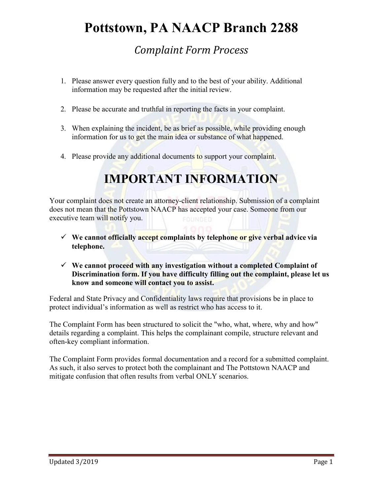### **Pottstown, PA NAACP Branch 2288**

#### *Complaint Form Process*

- 1. Please answer every question fully and to the best of your ability. Additional information may be requested after the initial review.
- 2. Please be accurate and truthful in reporting the facts in your complaint.
- 3. When explaining the incident, be as brief as possible, while providing enough information for us to get the main idea or substance of what happened.
- 4. Please provide any additional documents to support your complaint.

### **IMPORTANT INFORMATION**

Your complaint does not create an attorney-client relationship. Submission of a complaint does not mean that the Pottstown NAACP has accepted your case. Someone from our executive team will notify you.

- **We cannot officially accept complaints by telephone or give verbal advice via telephone.**
- **We cannot proceed with any investigation without a completed Complaint of Discrimination form. If you have difficulty filling out the complaint, please let us know and someone will contact you to assist.**

Federal and State Privacy and Confidentiality laws require that provisions be in place to protect individual's information as well as restrict who has access to it.

The Complaint Form has been structured to solicit the "who, what, where, why and how" details regarding a complaint. This helps the complainant compile, structure relevant and often-key compliant information.

The Complaint Form provides formal documentation and a record for a submitted complaint. As such, it also serves to protect both the complainant and The Pottstown NAACP and mitigate confusion that often results from verbal ONLY scenarios.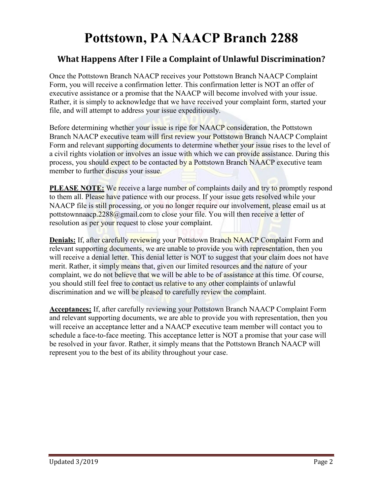## **Pottstown, PA NAACP Branch 2288**

#### **What Happens After I File a Complaint of Unlawful Discrimination?**

Once the Pottstown Branch NAACP receives your Pottstown Branch NAACP Complaint Form, you will receive a confirmation letter. This confirmation letter is NOT an offer of executive assistance or a promise that the NAACP will become involved with your issue. Rather, it is simply to acknowledge that we have received your complaint form, started your file, and will attempt to address your issue expeditiously.

Before determining whether your issue is ripe for NAACP consideration, the Pottstown Branch NAACP executive team will first review your Pottstown Branch NAACP Complaint Form and relevant supporting documents to determine whether your issue rises to the level of a civil rights violation or involves an issue with which we can provide assistance. During this process, you should expect to be contacted by a Pottstown Branch NAACP executive team member to further discuss your issue.

**PLEASE NOTE:** We receive a large number of complaints daily and try to promptly respond to them all. Please have patience with our process. If your issue gets resolved while your NAACP file is still processing, or you no longer require our involvement, please email us at [pottstownnaacp.2288@gmail.com](mailto:pottstownnaacp.2288@gmail.com) to close your file. You will then receive a letter of resolution as per your request to close your complaint.

**Denials:** If, after carefully reviewing your Pottstown Branch NAACP Complaint Form and relevant supporting documents, we are unable to provide you with representation, then you will receive a denial letter. This denial letter is NOT to suggest that your claim does not have merit. Rather, it simply means that, given our limited resources and the nature of your complaint, we do not believe that we will be able to be of assistance at this time. Of course, you should still feel free to contact us relative to any other complaints of unlawful discrimination and we will be pleased to carefully review the complaint.

**Acceptances:** If, after carefully reviewing your Pottstown Branch NAACP Complaint Form and relevant supporting documents, we are able to provide you with representation, then you will receive an acceptance letter and a NAACP executive team member will contact you to schedule a face-to-face meeting. This acceptance letter is NOT a promise that your case will be resolved in your favor. Rather, it simply means that the Pottstown Branch NAACP will represent you to the best of its ability throughout your case.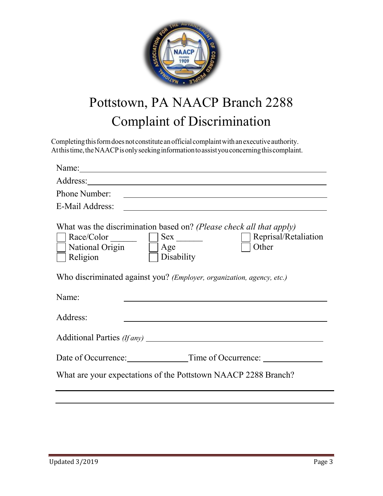

# Pottstown, PA NAACP Branch 2288 Complaint of Discrimination

Completing this form does not constitute an official complaint with an executive authority. Atthistime, the NAACP is only seeking information to assist you concerning this complaint.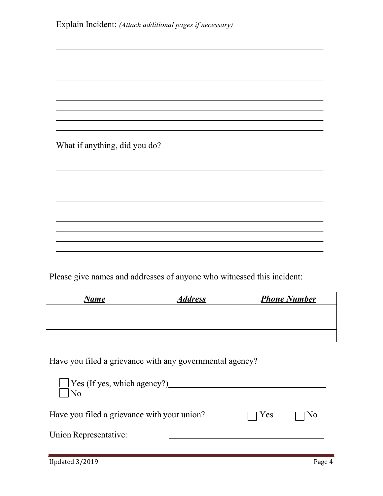What if anything, did you do?

Please give names and addresses of anyone who witnessed this incident:

| <u>Name</u> | <b>Address</b> | <b>Phone Number</b> |
|-------------|----------------|---------------------|
|             |                |                     |
|             |                |                     |
|             |                |                     |

Have you filed a grievance with any governmental agency?

| $\Box$ Yes (If yes, which agency?)<br>  No  |            |      |
|---------------------------------------------|------------|------|
| Have you filed a grievance with your union? | $\Box$ Yes | ] No |
| Union Representative:                       |            |      |